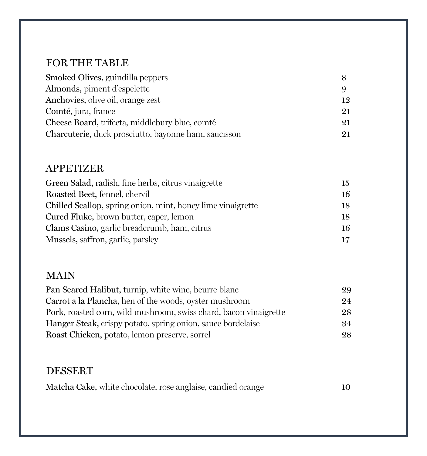## FOR THE TABLE

| Smoked Olives, guindilla peppers                     |    |
|------------------------------------------------------|----|
| Almonds, piment d'espelette                          |    |
| Anchovies, olive oil, orange zest                    | 19 |
| Comté, jura, france                                  | 21 |
| Cheese Board, trifecta, middlebury blue, comté       | 21 |
| Charcuterie, duck prosciutto, bayonne ham, saucisson | 21 |

### APPETIZER

| Green Salad, radish, fine herbs, citrus vinaigrette         | 15              |
|-------------------------------------------------------------|-----------------|
| Roasted Beet, fennel, chervil                               | 16              |
| Chilled Scallop, spring onion, mint, honey lime vinaigrette | 18              |
| Cured Fluke, brown butter, caper, lemon                     | 18              |
| Clams Casino, garlic breadcrumb, ham, citrus                | 16              |
| Mussels, saffron, garlic, parsley                           | 17 <sup>7</sup> |

### MAIN

| Pan Seared Halibut, turnip, white wine, beurre blanc              | 29  |
|-------------------------------------------------------------------|-----|
| Carrot a la Plancha, hen of the woods, oyster mushroom            | 9.4 |
| Pork, roasted corn, wild mushroom, swiss chard, bacon vinaigrette | 28  |
| Hanger Steak, crispy potato, spring onion, sauce bordelaise       | .34 |
| Roast Chicken, potato, lemon preserve, sorrel                     | 28  |

### DESSERT

|  |  | Matcha Cake, white chocolate, rose anglaise, candied orange |  | 10 |
|--|--|-------------------------------------------------------------|--|----|
|--|--|-------------------------------------------------------------|--|----|